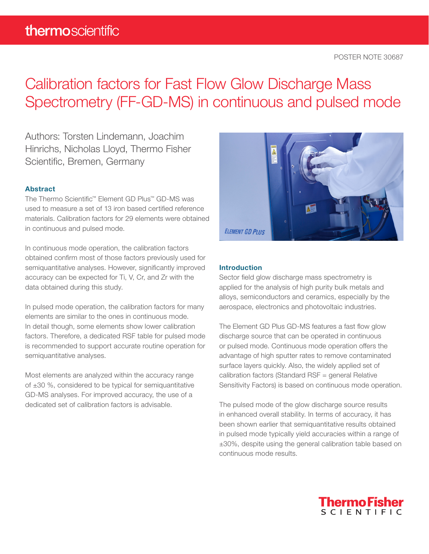## Calibration factors for Fast Flow Glow Discharge Mass Spectrometry (FF-GD-MS) in continuous and pulsed mode

Authors: Torsten Lindemann, Joachim Hinrichs, Nicholas Lloyd, Thermo Fisher Scientific, Bremen, Germany

### Abstract

The Thermo Scientific™ Element GD Plus™ GD-MS was used to measure a set of 13 iron based certified reference materials. Calibration factors for 29 elements were obtained in continuous and pulsed mode.

In continuous mode operation, the calibration factors obtained confirm most of those factors previously used for semiquantitative analyses. However, significantly improved accuracy can be expected for Ti, V, Cr, and Zr with the data obtained during this study.

In pulsed mode operation, the calibration factors for many elements are similar to the ones in continuous mode. In detail though, some elements show lower calibration factors. Therefore, a dedicated RSF table for pulsed mode is recommended to support accurate routine operation for semiquantitative analyses.

Most elements are analyzed within the accuracy range of ±30 %, considered to be typical for semiquantitative GD-MS analyses. For improved accuracy, the use of a dedicated set of calibration factors is advisable.



### **Introduction**

Sector field glow discharge mass spectrometry is applied for the analysis of high purity bulk metals and alloys, semiconductors and ceramics, especially by the aerospace, electronics and photovoltaic industries.

The Element GD Plus GD-MS features a fast flow glow discharge source that can be operated in continuous or pulsed mode. Continuous mode operation offers the advantage of high sputter rates to remove contaminated surface layers quickly. Also, the widely applied set of calibration factors (Standard RSF = general Relative Sensitivity Factors) is based on continuous mode operation.

The pulsed mode of the glow discharge source results in enhanced overall stability. In terms of accuracy, it has been shown earlier that semiquantitative results obtained in pulsed mode typically yield accuracies within a range of ±30%, despite using the general calibration table based on continuous mode results.

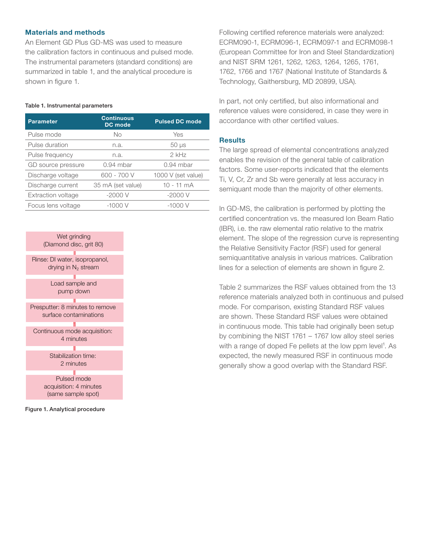### Materials and methods

An Element GD Plus GD-MS was used to measure the calibration factors in continuous and pulsed mode. The instrumental parameters (standard conditions) are summarized in table 1, and the analytical procedure is shown in figure 1.

### Table 1. Instrumental parameters

| <b>Parameter</b>          | <b>Continuous</b><br>DC mode | <b>Pulsed DC mode</b> |  |
|---------------------------|------------------------------|-----------------------|--|
| Pulse mode                | No                           | Yes                   |  |
| Pulse duration            | n.a.                         | $50 \mu s$            |  |
| Pulse frequency           | n.a.                         | $2$ kHz               |  |
| GD source pressure        | $0.94$ mbar                  | $0.94$ mbar           |  |
| Discharge voltage         | 600 - 700 V                  | 1000 V (set value)    |  |
| Discharge current         | 35 mA (set value)            | $10 - 11$ mA          |  |
| <b>Extraction voltage</b> | $-2000V$                     | $-2000V$              |  |
| Focus lens voltage        | -1000 V                      | -1000 V               |  |
|                           |                              |                       |  |



Figure 1. Analytical procedure

Following certified reference materials were analyzed: ECRM090-1, ECRM096-1, ECRM097-1 and ECRM098-1 (European Committee for Iron and Steel Standardization) and NIST SRM 1261, 1262, 1263, 1264, 1265, 1761, 1762, 1766 and 1767 (National Institute of Standards & Technology, Gaithersburg, MD 20899, USA).

In part, not only certified, but also informational and reference values were considered, in case they were in accordance with other certified values.

### **Results**

The large spread of elemental concentrations analyzed enables the revision of the general table of calibration factors. Some user-reports indicated that the elements Ti, V, Cr, Zr and Sb were generally at less accuracy in semiquant mode than the majority of other elements.

In GD-MS, the calibration is performed by plotting the certified concentration vs. the measured Ion Beam Ratio (IBR), i.e. the raw elemental ratio relative to the matrix element. The slope of the regression curve is representing the Relative Sensitivity Factor (RSF) used for general semiquantitative analysis in various matrices. Calibration lines for a selection of elements are shown in figure 2.

Table 2 summarizes the RSF values obtained from the 13 reference materials analyzed both in continuous and pulsed mode. For comparison, existing Standard RSF values are shown. These Standard RSF values were obtained in continuous mode. This table had originally been setup by combining the NIST 1761 – 1767 low alloy steel series with a range of doped Fe pellets at the low ppm level<sup>1</sup>. As expected, the newly measured RSF in continuous mode generally show a good overlap with the Standard RSF.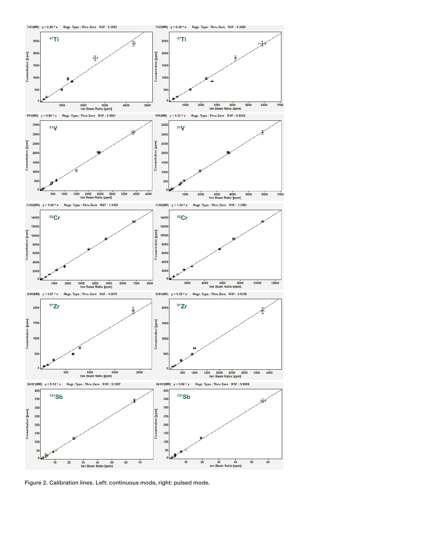



Figure 2. Calibration lines. Left: continuous mode, right: pulsed mode.